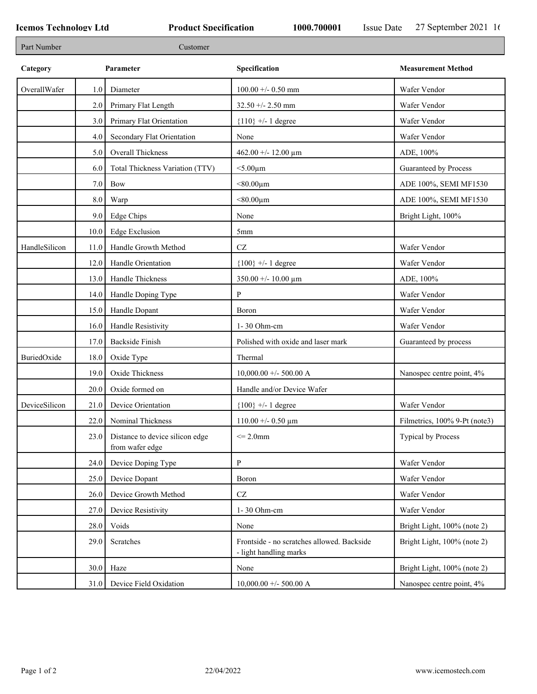| Part Number   |      | Customer                                           |                                                                      |                               |
|---------------|------|----------------------------------------------------|----------------------------------------------------------------------|-------------------------------|
| Category      |      | Parameter                                          | Specification                                                        | <b>Measurement Method</b>     |
| OverallWafer  | 1.0  | Diameter                                           | $100.00 + - 0.50$ mm                                                 | Wafer Vendor                  |
|               | 2.0  | Primary Flat Length                                | $32.50 + - 2.50$ mm                                                  | Wafer Vendor                  |
|               | 3.0  | Primary Flat Orientation                           | ${110}$ +/- 1 degree                                                 | Wafer Vendor                  |
|               | 4.0  | Secondary Flat Orientation                         | None                                                                 | Wafer Vendor                  |
|               | 5.0  | Overall Thickness                                  | 462.00 +/- 12.00 $\mu$ m                                             | ADE, 100%                     |
|               | 6.0  | Total Thickness Variation (TTV)                    | $<$ 5.00 $\mu$ m                                                     | Guaranteed by Process         |
|               | 7.0  | Bow                                                | $< 80.00 \mu m$                                                      | ADE 100%, SEMI MF1530         |
|               | 8.0  | Warp                                               | $< 80.00 \mu m$                                                      | ADE 100%, SEMI MF1530         |
|               | 9.0  | Edge Chips                                         | None                                                                 | Bright Light, 100%            |
|               | 10.0 | <b>Edge Exclusion</b>                              | 5mm                                                                  |                               |
| HandleSilicon | 11.0 | Handle Growth Method                               | $\operatorname{CZ}$                                                  | Wafer Vendor                  |
|               | 12.0 | Handle Orientation                                 | ${100}$ +/- 1 degree                                                 | Wafer Vendor                  |
|               | 13.0 | Handle Thickness                                   | $350.00 + - 10.00 \mu m$                                             | ADE, 100%                     |
|               | 14.0 | Handle Doping Type                                 | P                                                                    | Wafer Vendor                  |
|               | 15.0 | Handle Dopant                                      | Boron                                                                | Wafer Vendor                  |
|               | 16.0 | Handle Resistivity                                 | 1-30 Ohm-cm                                                          | Wafer Vendor                  |
|               | 17.0 | <b>Backside Finish</b>                             | Polished with oxide and laser mark                                   | Guaranteed by process         |
| BuriedOxide   | 18.0 | Oxide Type                                         | Thermal                                                              |                               |
|               | 19.0 | Oxide Thickness                                    | $10,000.00 +/- 500.00 A$                                             | Nanospec centre point, 4%     |
|               | 20.0 | Oxide formed on                                    | Handle and/or Device Wafer                                           |                               |
| DeviceSilicon | 21.0 | Device Orientation                                 | ${100}$ +/- 1 degree                                                 | Wafer Vendor                  |
|               | 22.0 | Nominal Thickness                                  | $110.00 + - 0.50 \mu m$                                              | Filmetrics, 100% 9-Pt (note3) |
|               | 23.0 | Distance to device silicon edge<br>from wafer edge | $\leq$ 2.0mm                                                         | <b>Typical by Process</b>     |
|               | 24.0 | Device Doping Type                                 | $\, {\bf p}$                                                         | Wafer Vendor                  |
|               | 25.0 | Device Dopant                                      | Boron                                                                | Wafer Vendor                  |
|               | 26.0 | Device Growth Method                               | $\operatorname{CZ}$                                                  | Wafer Vendor                  |
|               | 27.0 | Device Resistivity                                 | 1-30 Ohm-cm                                                          | Wafer Vendor                  |
|               | 28.0 | Voids                                              | None                                                                 | Bright Light, 100% (note 2)   |
|               | 29.0 | Scratches                                          | Frontside - no scratches allowed. Backside<br>- light handling marks | Bright Light, 100% (note 2)   |
|               | 30.0 | Haze                                               | None                                                                 | Bright Light, 100% (note 2)   |
|               | 31.0 | Device Field Oxidation                             | $10,000.00 +/- 500.00$ A                                             | Nanospec centre point, 4%     |